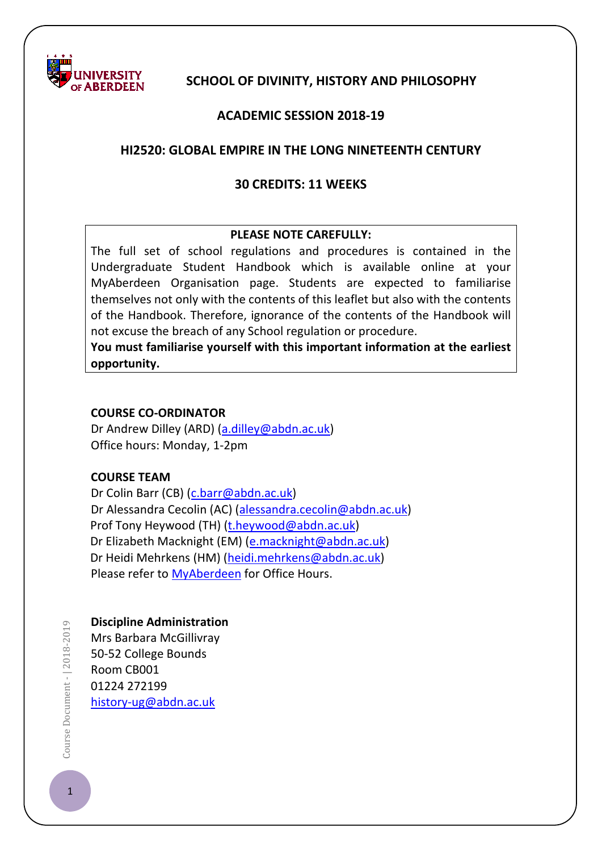

## **SCHOOL OF DIVINITY, HISTORY AND PHILOSOPHY**

## **ACADEMIC SESSION 2018-19**

#### **HI2520: GLOBAL EMPIRE IN THE LONG NINETEENTH CENTURY**

#### **30 CREDITS: 11 WEEKS**

#### **PLEASE NOTE CAREFULLY:**

The full set of school regulations and procedures is contained in the Undergraduate Student Handbook which is available online at your MyAberdeen Organisation page. Students are expected to familiarise themselves not only with the contents of this leaflet but also with the contents of the Handbook. Therefore, ignorance of the contents of the Handbook will not excuse the breach of any School regulation or procedure.

**You must familiarise yourself with this important information at the earliest opportunity.**

#### **COURSE CO-ORDINATOR**

Dr Andrew Dilley (ARD) [\(a.dilley@abdn.ac.uk\)](mailto:a.dilley@abdn.ac.uk) Office hours: Monday, 1-2pm

#### **COURSE TEAM**

Dr Colin Barr (CB) [\(c.barr@abdn.ac.uk\)](mailto:c.barr@abdn.ac.uk) Dr Alessandra Cecolin (AC) [\(alessandra.cecolin@abdn.ac.uk\)](mailto:alessandra.cecolin@abdn.ac.uk) Prof Tony Heywood (TH) [\(t.heywood@abdn.ac.uk\)](mailto:t.heywood@abdn.ac.uk) Dr Elizabeth Macknight (EM) [\(e.macknight@abdn.ac.uk\)](mailto:e.macknight@abdn.ac.uk) Dr Heidi Mehrkens (HM) [\(heidi.mehrkens@abdn.ac.uk\)](mailto:heidi.mehrkens@abdn.ac.uk) Please refer to [MyAberdeen](https://abdn.blackboard.com/webapps/portal/frameset.jsp) for Office Hours.

#### **Discipline Administration**

Mrs Barbara McGillivray 50-52 College Bounds Room CB001 01224 272199 [history-ug@abdn.ac.uk](mailto:history-ug@abdn.ac.uk)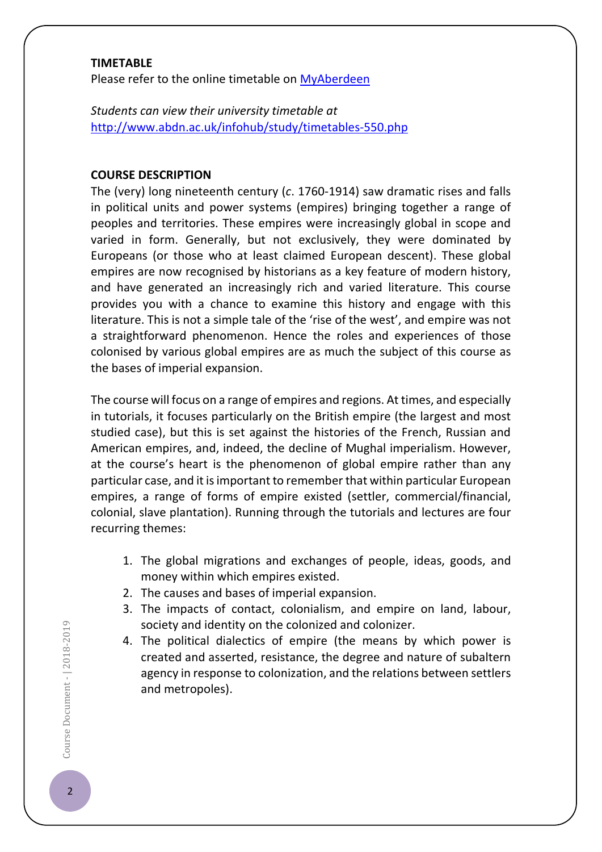#### **TIMETABLE**

Please refer to the online timetable on [MyAberdeen](https://abdn.blackboard.com/webapps/login/)

*Students can view their university timetable at*  <http://www.abdn.ac.uk/infohub/study/timetables-550.php>

#### **COURSE DESCRIPTION**

The (very) long nineteenth century (*c*. 1760-1914) saw dramatic rises and falls in political units and power systems (empires) bringing together a range of peoples and territories. These empires were increasingly global in scope and varied in form. Generally, but not exclusively, they were dominated by Europeans (or those who at least claimed European descent). These global empires are now recognised by historians as a key feature of modern history, and have generated an increasingly rich and varied literature. This course provides you with a chance to examine this history and engage with this literature. This is not a simple tale of the 'rise of the west', and empire was not a straightforward phenomenon. Hence the roles and experiences of those colonised by various global empires are as much the subject of this course as the bases of imperial expansion.

The course will focus on a range of empires and regions. At times, and especially in tutorials, it focuses particularly on the British empire (the largest and most studied case), but this is set against the histories of the French, Russian and American empires, and, indeed, the decline of Mughal imperialism. However, at the course's heart is the phenomenon of global empire rather than any particular case, and it is important to remember that within particular European empires, a range of forms of empire existed (settler, commercial/financial, colonial, slave plantation). Running through the tutorials and lectures are four recurring themes:

- 1. The global migrations and exchanges of people, ideas, goods, and money within which empires existed.
- 2. The causes and bases of imperial expansion.
- 3. The impacts of contact, colonialism, and empire on land, labour, society and identity on the colonized and colonizer.
- 4. The political dialectics of empire (the means by which power is created and asserted, resistance, the degree and nature of subaltern agency in response to colonization, and the relations between settlers and metropoles).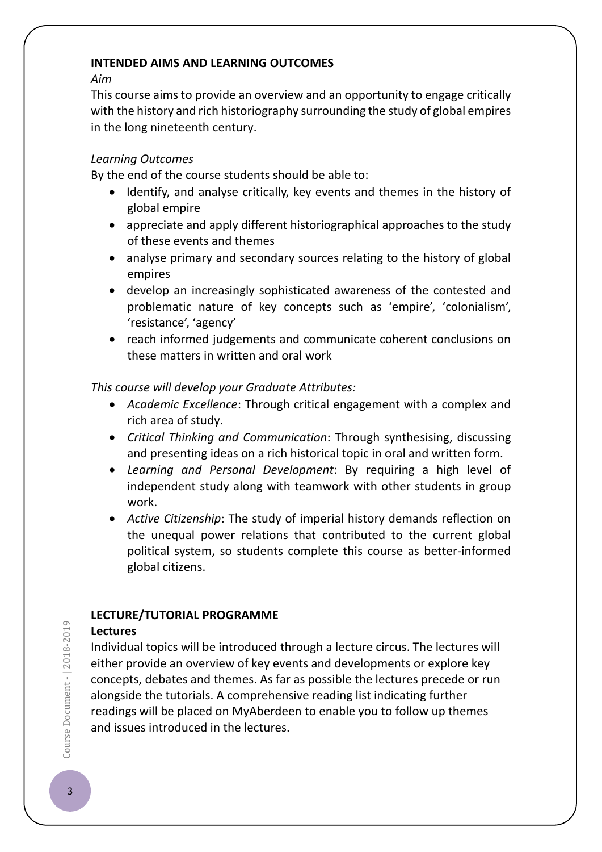#### **INTENDED AIMS AND LEARNING OUTCOMES**

*Aim* 

This course aims to provide an overview and an opportunity to engage critically with the history and rich historiography surrounding the study of global empires in the long nineteenth century.

## *Learning Outcomes*

By the end of the course students should be able to:

- Identify, and analyse critically, key events and themes in the history of global empire
- appreciate and apply different historiographical approaches to the study of these events and themes
- analyse primary and secondary sources relating to the history of global empires
- develop an increasingly sophisticated awareness of the contested and problematic nature of key concepts such as 'empire', 'colonialism', 'resistance', 'agency'
- reach informed judgements and communicate coherent conclusions on these matters in written and oral work

*This course will develop your Graduate Attributes:*

- *Academic Excellence*: Through critical engagement with a complex and rich area of study.
- *Critical Thinking and Communication*: Through synthesising, discussing and presenting ideas on a rich historical topic in oral and written form.
- *Learning and Personal Development*: By requiring a high level of independent study along with teamwork with other students in group work.
- *Active Citizenship*: The study of imperial history demands reflection on the unequal power relations that contributed to the current global political system, so students complete this course as better-informed global citizens.

# **LECTURE/TUTORIAL PROGRAMME**

## **Lectures**

Individual topics will be introduced through a lecture circus. The lectures will either provide an overview of key events and developments or explore key concepts, debates and themes. As far as possible the lectures precede or run alongside the tutorials. A comprehensive reading list indicating further readings will be placed on MyAberdeen to enable you to follow up themes and issues introduced in the lectures.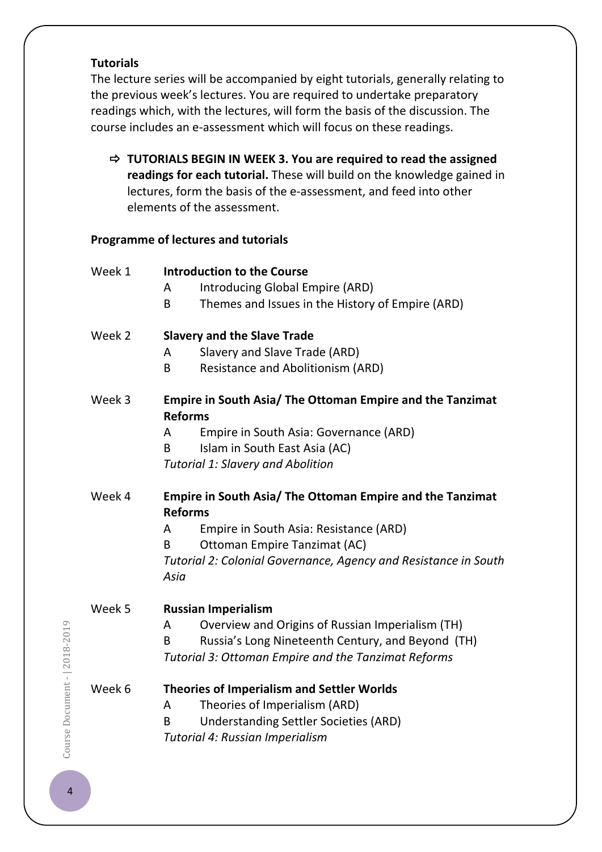#### **Tutorials**

The lecture series will be accompanied by eight tutorials, generally relating to the previous week's lectures. You are required to undertake preparatory readings which, with the lectures, will form the basis of the discussion. The course includes an e-assessment which will focus on these readings.

 **TUTORIALS BEGIN IN WEEK 3. You are required to read the assigned readings for each tutorial.** These will build on the knowledge gained in lectures, form the basis of the e-assessment, and feed into other elements of the assessment.

## **Programme of lectures and tutorials**

| Week 1 | <b>Introduction to the Course</b>                                                                                                                                                      |
|--------|----------------------------------------------------------------------------------------------------------------------------------------------------------------------------------------|
|        | Introducing Global Empire (ARD)<br>A                                                                                                                                                   |
|        | Themes and Issues in the History of Empire (ARD)<br>B                                                                                                                                  |
| Week 2 | <b>Slavery and the Slave Trade</b>                                                                                                                                                     |
|        | Slavery and Slave Trade (ARD)<br>A                                                                                                                                                     |
|        | <b>Resistance and Abolitionism (ARD)</b><br>B                                                                                                                                          |
| Week 3 | Empire in South Asia/ The Ottoman Empire and the Tanzimat<br><b>Reforms</b>                                                                                                            |
|        | Empire in South Asia: Governance (ARD)<br>A                                                                                                                                            |
|        | Islam in South East Asia (AC)<br>B                                                                                                                                                     |
|        | <b>Tutorial 1: Slavery and Abolition</b>                                                                                                                                               |
| Week 4 | Empire in South Asia/ The Ottoman Empire and the Tanzimat<br><b>Reforms</b>                                                                                                            |
|        | Empire in South Asia: Resistance (ARD)<br>A                                                                                                                                            |
|        | <b>Ottoman Empire Tanzimat (AC)</b><br>B                                                                                                                                               |
|        | Tutorial 2: Colonial Governance, Agency and Resistance in South<br>Asia                                                                                                                |
| Week 5 | <b>Russian Imperialism</b>                                                                                                                                                             |
|        | Overview and Origins of Russian Imperialism (TH)<br>A                                                                                                                                  |
|        | Russia's Long Nineteenth Century, and Beyond (TH)<br>B                                                                                                                                 |
|        | Tutorial 3: Ottoman Empire and the Tanzimat Reforms                                                                                                                                    |
| Week 6 | <b>Theories of Imperialism and Settler Worlds</b><br>Theories of Imperialism (ARD)<br>A<br><b>Understanding Settler Societies (ARD)</b><br>B<br><b>Tutorial 4: Russian Imperialism</b> |
|        |                                                                                                                                                                                        |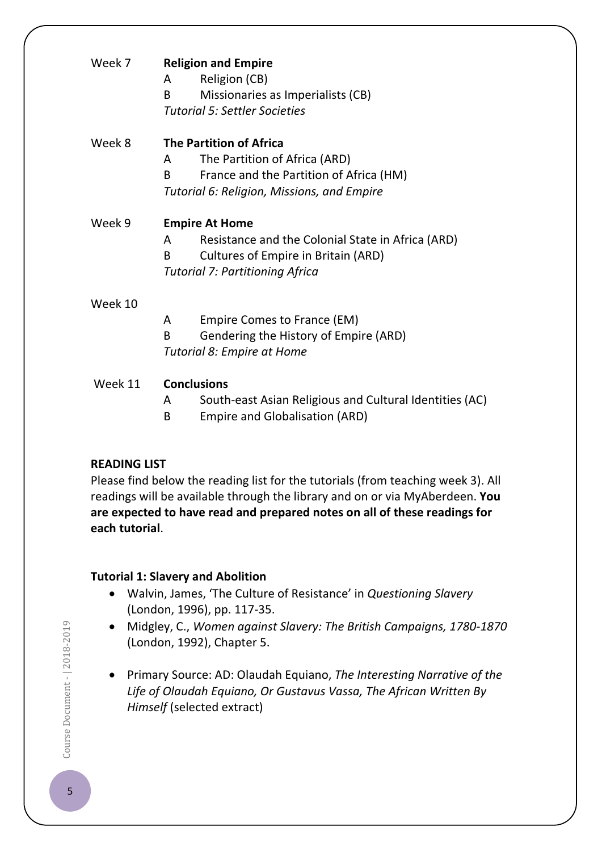| Week 7  | <b>Religion and Empire</b><br>Religion (CB)<br>A<br>Missionaries as Imperialists (CB)<br>B<br><b>Tutorial 5: Settler Societies</b> |
|---------|------------------------------------------------------------------------------------------------------------------------------------|
| Week 8  | <b>The Partition of Africa</b>                                                                                                     |
|         | The Partition of Africa (ARD)<br>A                                                                                                 |
|         | B.<br>France and the Partition of Africa (HM)                                                                                      |
|         | Tutorial 6: Religion, Missions, and Empire                                                                                         |
| Week 9  | <b>Empire At Home</b>                                                                                                              |
|         | Resistance and the Colonial State in Africa (ARD)<br>A                                                                             |
|         | Cultures of Empire in Britain (ARD)<br>B.                                                                                          |
|         | <b>Tutorial 7: Partitioning Africa</b>                                                                                             |
| Week 10 |                                                                                                                                    |
|         | Empire Comes to France (EM)<br>A                                                                                                   |
|         | <sub>R</sub><br>Gendering the History of Empire (ARD)                                                                              |
|         | Tutorial 8: Empire at Home                                                                                                         |
| Week 11 | <b>Conclusions</b>                                                                                                                 |
|         | South-east Asian Religious and Cultural Identities (AC)<br>A                                                                       |
|         | <b>Empire and Globalisation (ARD)</b><br>B                                                                                         |

## **READING LIST**

Please find below the reading list for the tutorials (from teaching week 3). All readings will be available through the library and on or via MyAberdeen. **You are expected to have read and prepared notes on all of these readings for each tutorial**.

## **Tutorial 1: Slavery and Abolition**

- Walvin, James, 'The Culture of Resistance' in *Questioning Slavery* (London, 1996), pp. 117-35.
- Midgley, C., *Women against Slavery: The British Campaigns, 1780-1870* (London, 1992), Chapter 5.
- Primary Source: AD: Olaudah Equiano, *The Interesting Narrative of the Life of Olaudah Equiano, Or Gustavus Vassa, The African Written By Himself* (selected extract)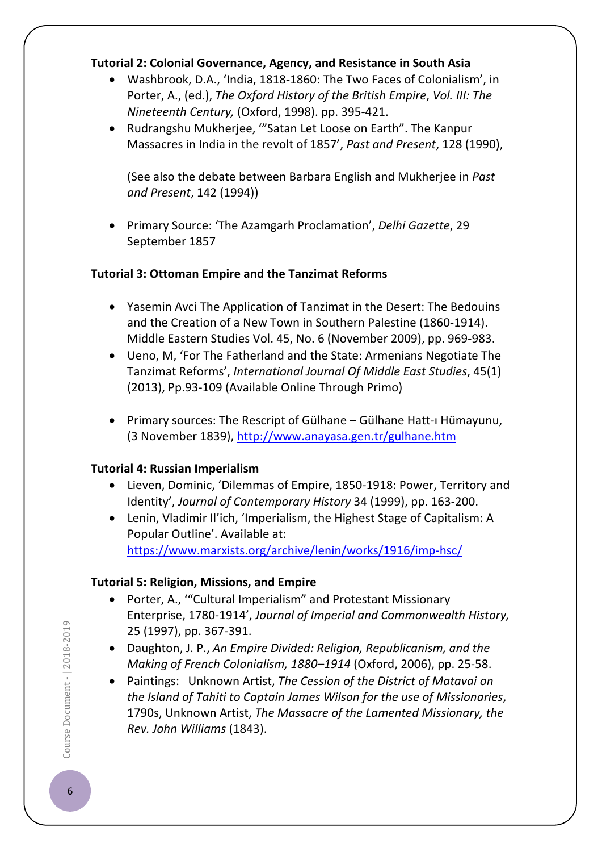## **Tutorial 2: Colonial Governance, Agency, and Resistance in South Asia**

- Washbrook, D.A., 'India, 1818-1860: The Two Faces of Colonialism', in Porter, A., (ed.), *The Oxford History of the British Empire*, *Vol. III: The Nineteenth Century,* (Oxford, 1998). pp. 395-421.
- Rudrangshu Mukherjee, '"Satan Let Loose on Earth". The Kanpur Massacres in India in the revolt of 1857', *Past and Present*, 128 (1990),

(See also the debate between Barbara English and Mukherjee in *Past and Present*, 142 (1994))

• Primary Source: 'The Azamgarh Proclamation', *Delhi Gazette*, 29 September 1857

## **Tutorial 3: Ottoman Empire and the Tanzimat Reforms**

- Yasemin Avci The Application of Tanzimat in the Desert: The Bedouins and the Creation of a New Town in Southern Palestine (1860-1914). Middle Eastern Studies Vol. 45, No. 6 (November 2009), pp. 969-983.
- Ueno, M, 'For The Fatherland and the State: Armenians Negotiate The Tanzimat Reforms', *International Journal Of Middle East Studies*, 45(1) (2013), Pp.93-109 (Available Online Through Primo)
- Primary sources: The Rescript of Gülhane Gülhane Hatt-ı Hümayunu, (3 November 1839),<http://www.anayasa.gen.tr/gulhane.htm>

## **Tutorial 4: Russian Imperialism**

- Lieven, Dominic, 'Dilemmas of Empire, 1850-1918: Power, Territory and Identity', *Journal of Contemporary History* 34 (1999), pp. 163-200.
- Lenin, Vladimir Il'ich, 'Imperialism, the Highest Stage of Capitalism: A Popular Outline'. Available at: <https://www.marxists.org/archive/lenin/works/1916/imp-hsc/>

## **Tutorial 5: Religion, Missions, and Empire**

- Porter, A., '"Cultural Imperialism" and Protestant Missionary Enterprise, 1780-1914', *Journal of Imperial and Commonwealth History,* 25 (1997), pp. 367-391.
- Daughton, J. P., *An Empire Divided: Religion, Republicanism, and the Making of French Colonialism, 1880–1914* (Oxford, 2006), pp. 25-58.
- Paintings: Unknown Artist, *The Cession of the District of Matavai on the Island of Tahiti to Captain James Wilson for the use of Missionaries*, 1790s, Unknown Artist, *The Massacre of the Lamented Missionary, the Rev. John Williams* (1843).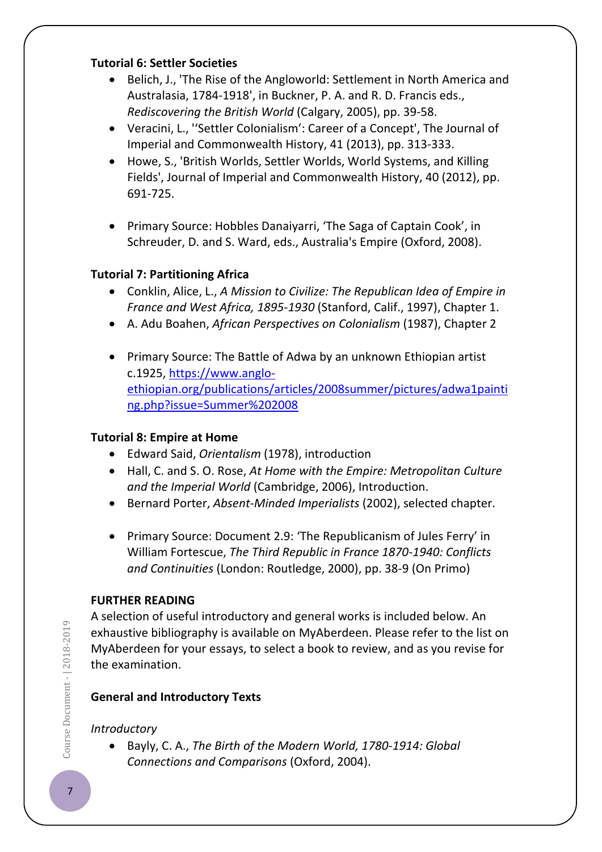#### **Tutorial 6: Settler Societies**

- Belich, J., 'The Rise of the Angloworld: Settlement in North America and Australasia, 1784-1918', in Buckner, P. A. and R. D. Francis eds., *Rediscovering the British World* (Calgary, 2005), pp. 39-58.
- Veracini, L., ''Settler Colonialism': Career of a Concept', The Journal of Imperial and Commonwealth History, 41 (2013), pp. 313-333.
- Howe, S., 'British Worlds, Settler Worlds, World Systems, and Killing Fields', Journal of Imperial and Commonwealth History, 40 (2012), pp. 691-725.
- Primary Source: Hobbles Danaiyarri, 'The Saga of Captain Cook', in Schreuder, D. and S. Ward, eds., Australia's Empire (Oxford, 2008).

# **Tutorial 7: Partitioning Africa**

- Conklin, Alice, L., *A Mission to Civilize: The Republican Idea of Empire in France and West Africa, 1895-1930* (Stanford, Calif., 1997), Chapter 1.
- A. Adu Boahen, *African Perspectives on Colonialism* (1987), Chapter 2
- Primary Source: The Battle of Adwa by an unknown Ethiopian artist c.1925, [https://www.anglo](https://www.anglo-ethiopian.org/publications/articles/2008summer/pictures/adwa1painting.php?issue=Summer%202008)[ethiopian.org/publications/articles/2008summer/pictures/adwa1painti](https://www.anglo-ethiopian.org/publications/articles/2008summer/pictures/adwa1painting.php?issue=Summer%202008) [ng.php?issue=Summer%202008](https://www.anglo-ethiopian.org/publications/articles/2008summer/pictures/adwa1painting.php?issue=Summer%202008)

## **Tutorial 8: Empire at Home**

- Edward Said, *Orientalism* (1978), introduction
- Hall, C. and S. O. Rose, *At Home with the Empire: Metropolitan Culture and the Imperial World* (Cambridge, 2006), Introduction.
- Bernard Porter, *Absent-Minded Imperialists* (2002), selected chapter.
- Primary Source: Document 2.9: 'The Republicanism of Jules Ferry' in William Fortescue, *The Third Republic in France 1870-1940: Conflicts and Continuities* (London: Routledge, 2000), pp. 38-9 (On Primo)

## **FURTHER READING**

A selection of useful introductory and general works is included below. An exhaustive bibliography is available on MyAberdeen. Please refer to the list on MyAberdeen for your essays, to select a book to review, and as you revise for the examination.

# **General and Introductory Texts**

# *Introductory*

• Bayly, C. A., *The Birth of the Modern World, 1780-1914: Global Connections and Comparisons* (Oxford, 2004).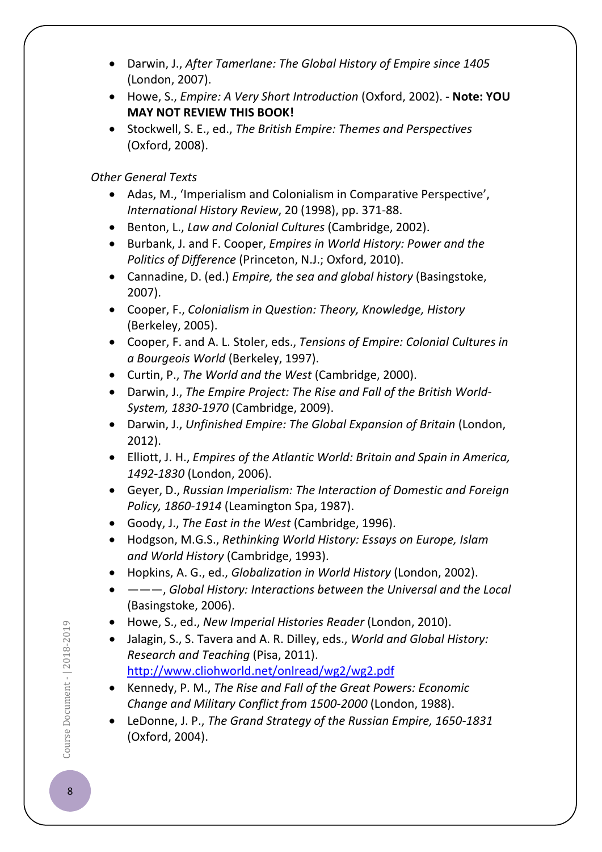- Darwin, J., *After Tamerlane: The Global History of Empire since 1405* (London, 2007).
- Howe, S., *Empire: A Very Short Introduction* (Oxford, 2002). **Note: YOU MAY NOT REVIEW THIS BOOK!**
- Stockwell, S. E., ed., *The British Empire: Themes and Perspectives* (Oxford, 2008).

# *Other General Texts*

- Adas, M., 'Imperialism and Colonialism in Comparative Perspective', *International History Review*, 20 (1998), pp. 371-88.
- Benton, L., *Law and Colonial Cultures* (Cambridge, 2002).
- Burbank, J. and F. Cooper, *Empires in World History: Power and the Politics of Difference* (Princeton, N.J.; Oxford, 2010).
- Cannadine, D. (ed.) *Empire, the sea and global history* (Basingstoke, 2007).
- Cooper, F., *Colonialism in Question: Theory, Knowledge, History* (Berkeley, 2005).
- Cooper, F. and A. L. Stoler, eds., *Tensions of Empire: Colonial Cultures in a Bourgeois World* (Berkeley, 1997).
- Curtin, P., *The World and the West* (Cambridge, 2000).
- Darwin, J., *The Empire Project: The Rise and Fall of the British World-System, 1830-1970* (Cambridge, 2009).
- Darwin, J., *Unfinished Empire: The Global Expansion of Britain* (London, 2012).
- Elliott, J. H., *Empires of the Atlantic World: Britain and Spain in America, 1492-1830* (London, 2006).
- Geyer, D., *Russian Imperialism: The Interaction of Domestic and Foreign Policy, 1860-1914* (Leamington Spa, 1987).
- Goody, J., *The East in the West* (Cambridge, 1996).
- Hodgson, M.G.S., *Rethinking World History: Essays on Europe, Islam and World History* (Cambridge, 1993).
- Hopkins, A. G., ed., *Globalization in World History* (London, 2002).
- ———, *Global History: Interactions between the Universal and the Local* (Basingstoke, 2006).
- Howe, S., ed., *New Imperial Histories Reader* (London, 2010).
- Jalagin, S., S. Tavera and A. R. Dilley, eds., *World and Global History: Research and Teaching* (Pisa, 2011). <http://www.cliohworld.net/onlread/wg2/wg2.pdf>
- Kennedy, P. M., *The Rise and Fall of the Great Powers: Economic Change and Military Conflict from 1500-2000* (London, 1988).
- LeDonne, J. P., *The Grand Strategy of the Russian Empire, 1650-1831* (Oxford, 2004).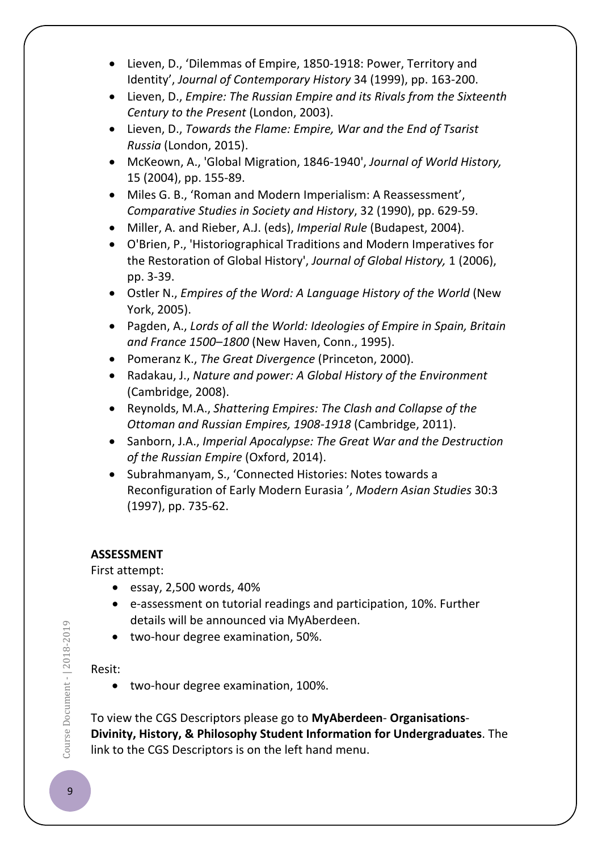- Lieven, D., 'Dilemmas of Empire, 1850-1918: Power, Territory and Identity', *Journal of Contemporary History* 34 (1999), pp. 163-200.
- Lieven, D., *Empire: The Russian Empire and its Rivals from the Sixteenth Century to the Present* (London, 2003).
- Lieven, D., *Towards the Flame: Empire, War and the End of Tsarist Russia* (London, 2015).
- McKeown, A., 'Global Migration, 1846-1940', *Journal of World History,* 15 (2004), pp. 155-89.
- Miles G. B., 'Roman and Modern Imperialism: A Reassessment', *Comparative Studies in Society and History*, 32 (1990), pp. 629-59.
- Miller, A. and Rieber, A.J. (eds), *Imperial Rule* (Budapest, 2004).
- O'Brien, P., 'Historiographical Traditions and Modern Imperatives for the Restoration of Global History', *Journal of Global History,* 1 (2006), pp. 3-39.
- Ostler N., *Empires of the Word: A Language History of the World* (New York, 2005).
- Pagden, A., *Lords of all the World: Ideologies of Empire in Spain, Britain and France 1500–1800* (New Haven, Conn., 1995).
- Pomeranz K., *The Great Divergence* (Princeton, 2000).
- Radakau, J., *Nature and power: A Global History of the Environment*  (Cambridge, 2008).
- Reynolds, M.A., *Shattering Empires: The Clash and Collapse of the Ottoman and Russian Empires, 1908-1918* (Cambridge, 2011).
- Sanborn, J.A., *Imperial Apocalypse: The Great War and the Destruction of the Russian Empire* (Oxford, 2014).
- Subrahmanyam, S., 'Connected Histories: Notes towards a Reconfiguration of Early Modern Eurasia ', *Modern Asian Studies* 30:3 (1997), pp. 735-62.

## **ASSESSMENT**

First attempt:

- essay,  $2,500$  words,  $40\%$
- e-assessment on tutorial readings and participation, 10%. Further details will be announced via MyAberdeen.
- two-hour degree examination, 50%.

## Resit:

• two-hour degree examination, 100%.

To view the CGS Descriptors please go to **MyAberdeen**- **Organisations**-**Divinity, History, & Philosophy Student Information for Undergraduates**. The link to the CGS Descriptors is on the left hand menu.

Course Document - | 2018-2019 Course Document -  $|$  2018-2019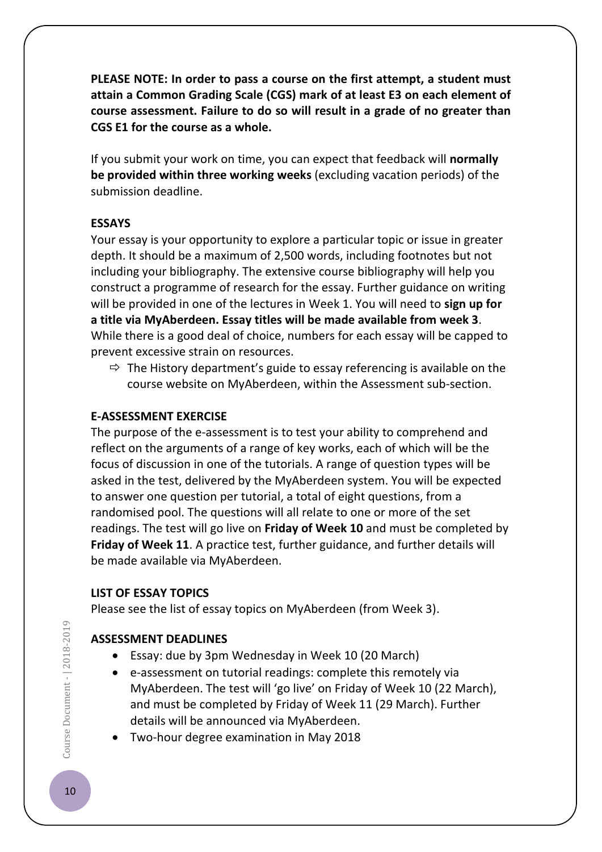**PLEASE NOTE: In order to pass a course on the first attempt, a student must attain a Common Grading Scale (CGS) mark of at least E3 on each element of course assessment. Failure to do so will result in a grade of no greater than CGS E1 for the course as a whole.**

If you submit your work on time, you can expect that feedback will **normally be provided within three working weeks** (excluding vacation periods) of the submission deadline.

#### **ESSAYS**

Your essay is your opportunity to explore a particular topic or issue in greater depth. It should be a maximum of 2,500 words, including footnotes but not including your bibliography. The extensive course bibliography will help you construct a programme of research for the essay. Further guidance on writing will be provided in one of the lectures in Week 1. You will need to **sign up for a title via MyAberdeen. Essay titles will be made available from week 3**. While there is a good deal of choice, numbers for each essay will be capped to prevent excessive strain on resources.

 $\Rightarrow$  The History department's guide to essay referencing is available on the course website on MyAberdeen, within the Assessment sub-section.

#### **E-ASSESSMENT EXERCISE**

The purpose of the e-assessment is to test your ability to comprehend and reflect on the arguments of a range of key works, each of which will be the focus of discussion in one of the tutorials. A range of question types will be asked in the test, delivered by the MyAberdeen system. You will be expected to answer one question per tutorial, a total of eight questions, from a randomised pool. The questions will all relate to one or more of the set readings. The test will go live on **Friday of Week 10** and must be completed by **Friday of Week 11**. A practice test, further guidance, and further details will be made available via MyAberdeen.

#### **LIST OF ESSAY TOPICS**

Please see the list of essay topics on MyAberdeen (from Week 3).

## **ASSESSMENT DEADLINES**

- Essay: due by 3pm Wednesday in Week 10 (20 March)
- e-assessment on tutorial readings: complete this remotely via MyAberdeen. The test will 'go live' on Friday of Week 10 (22 March), and must be completed by Friday of Week 11 (29 March). Further details will be announced via MyAberdeen.
- Two-hour degree examination in May 2018